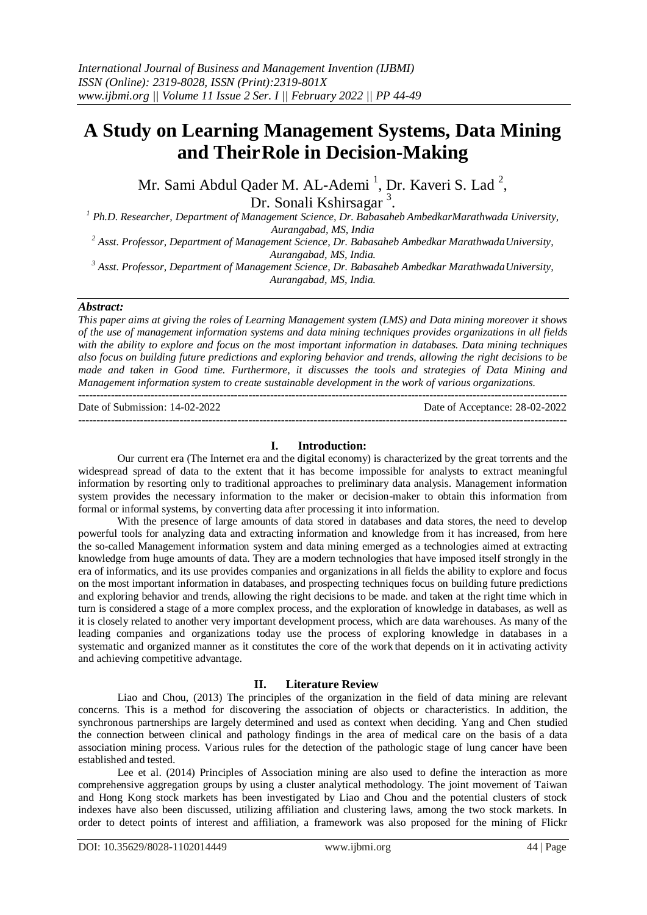---------------------------------------------------------------------------------------------------------------------------------------

# **A Study on Learning Management Systems, Data Mining and TheirRole in Decision-Making**

Mr. Sami Abdul Qader M. AL-Ademi <sup>1</sup>, Dr. Kaveri S. Lad <sup>2</sup>,

Dr. Sonali Kshirsagar<sup>3</sup>.

*<sup>1</sup> Ph.D. Researcher, Department of Management Science, Dr. Babasaheb AmbedkarMarathwada University, Aurangabad, MS, India*

*<sup>2</sup> Asst. Professor, Department of Management Science, Dr. Babasaheb Ambedkar MarathwadaUniversity, Aurangabad, MS, India.*

<sup>3</sup> Asst. Professor, Department of Management Science, Dr. Babasaheb Ambedkar MarathwadaUniversity, *Aurangabad, MS, India.*

# *Abstract:*

*This paper aims at giving the roles of Learning Management system (LMS) and Data mining moreover it shows of the use of management information systems and data mining techniques provides organizations in all fields with the ability to explore and focus on the most important information in databases. Data mining techniques also focus on building future predictions and exploring behavior and trends, allowing the right decisions to be made and taken in Good time. Furthermore, it discusses the tools and strategies of Data Mining and Management information system to create sustainable development in the work of various organizations.*  $-1\leq i\leq n-1$ 

Date of Submission: 14-02-2022 Date of Acceptance: 28-02-2022

# **I. Introduction:**

Our current era (The Internet era and the digital economy) is characterized by the great torrents and the widespread spread of data to the extent that it has become impossible for analysts to extract meaningful information by resorting only to traditional approaches to preliminary data analysis. Management information system provides the necessary information to the maker or decision-maker to obtain this information from formal or informal systems, by converting data after processing it into information.

With the presence of large amounts of data stored in databases and data stores, the need to develop powerful tools for analyzing data and extracting information and knowledge from it has increased, from here the so-called Management information system and data mining emerged as a technologies aimed at extracting knowledge from huge amounts of data. They are a modern technologies that have imposed itself strongly in the era of informatics, and its use provides companies and organizations in all fields the ability to explore and focus on the most important information in databases, and prospecting techniques focus on building future predictions and exploring behavior and trends, allowing the right decisions to be made. and taken at the right time which in turn is considered a stage of a more complex process, and the exploration of knowledge in databases, as well as it is closely related to another very important development process, which are data warehouses. As many of the leading companies and organizations today use the process of exploring knowledge in databases in a systematic and organized manner as it constitutes the core of the work that depends on it in activating activity and achieving competitive advantage.

# **II. Literature Review**

Liao and Chou, (2013) The principles of the organization in the field of data mining are relevant concerns. This is a method for discovering the association of objects or characteristics. In addition, the synchronous partnerships are largely determined and used as context when deciding. Yang and Chen studied the connection between clinical and pathology findings in the area of medical care on the basis of a data association mining process. Various rules for the detection of the pathologic stage of lung cancer have been established and tested.

Lee et al. (2014) Principles of Association mining are also used to define the interaction as more comprehensive aggregation groups by using a cluster analytical methodology. The joint movement of Taiwan and Hong Kong stock markets has been investigated by Liao and Chou and the potential clusters of stock indexes have also been discussed, utilizing affiliation and clustering laws, among the two stock markets. In order to detect points of interest and affiliation, a framework was also proposed for the mining of Flickr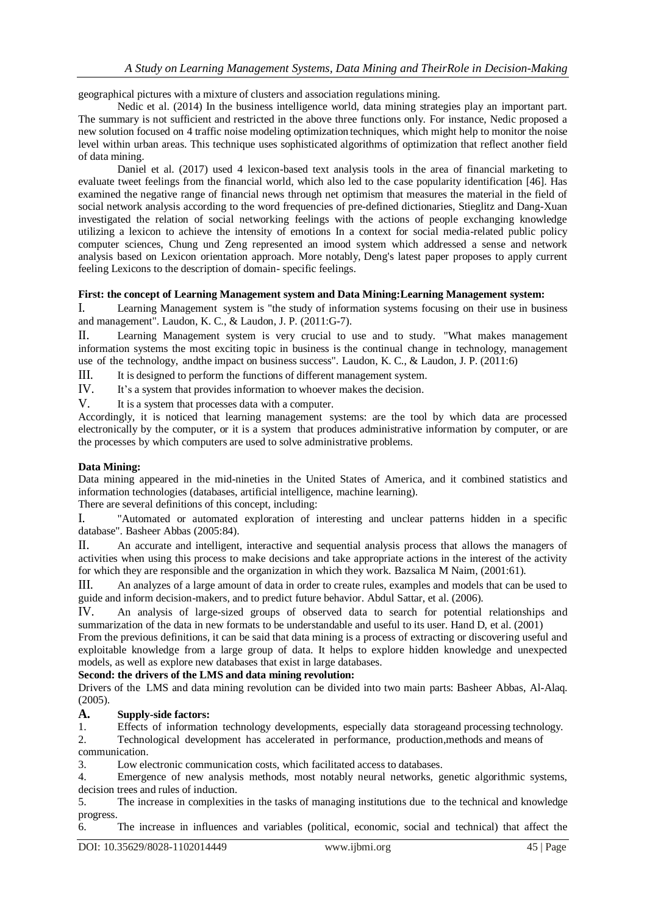geographical pictures with a mixture of clusters and association regulations mining.

Nedic et al. (2014) In the business intelligence world, data mining strategies play an important part. The summary is not sufficient and restricted in the above three functions only. For instance, Nedic proposed a new solution focused on 4 traffic noise modeling optimization techniques, which might help to monitor the noise level within urban areas. This technique uses sophisticated algorithms of optimization that reflect another field of data mining.

Daniel et al. (2017) used 4 lexicon-based text analysis tools in the area of financial marketing to evaluate tweet feelings from the financial world, which also led to the case popularity identification [46]. Has examined the negative range of financial news through net optimism that measures the material in the field of social network analysis according to the word frequencies of pre-defined dictionaries, Stieglitz and Dang-Xuan investigated the relation of social networking feelings with the actions of people exchanging knowledge utilizing a lexicon to achieve the intensity of emotions In a context for social media-related public policy computer sciences, Chung und Zeng represented an imood system which addressed a sense and network analysis based on Lexicon orientation approach. More notably, Deng's latest paper proposes to apply current feeling Lexicons to the description of domain- specific feelings.

# **First: the concept of Learning Management system and Data Mining:Learning Management system:**

I. Learning Management system is "the study of information systems focusing on their use in business and management". Laudon, K. C., & Laudon, J. P. (2011:G-7).

II. Learning Management system is very crucial to use and to study. "What makes management information systems the most exciting topic in business is the continual change in technology, management use of the technology, andthe impact on business success". Laudon, K. C., & Laudon, J. P. (2011:6)

III. It is designed to perform the functions of different management system.

IV. It's a system that provides information to whoever makes the decision.

V. It is a system that processes data with a computer.

Accordingly, it is noticed that learning management systems: are the tool by which data are processed electronically by the computer, or it is a system that produces administrative information by computer, or are the processes by which computers are used to solve administrative problems.

# **Data Mining:**

Data mining appeared in the mid-nineties in the United States of America, and it combined statistics and information technologies (databases, artificial intelligence, machine learning).

There are several definitions of this concept, including:

I. "Automated or automated exploration of interesting and unclear patterns hidden in a specific database". Basheer Abbas (2005:84).

II. An accurate and intelligent, interactive and sequential analysis process that allows the managers of activities when using this process to make decisions and take appropriate actions in the interest of the activity for which they are responsible and the organization in which they work. Bazsalica M Naim, (2001:61).

III. An analyzes of a large amount of data in order to create rules, examples and models that can be used to guide and inform decision-makers, and to predict future behavior. Abdul Sattar, et al. (2006).

IV. An analysis of large-sized groups of observed data to search for potential relationships and summarization of the data in new formats to be understandable and useful to its user. Hand D, et al. (2001)

From the previous definitions, it can be said that data mining is a process of extracting or discovering useful and exploitable knowledge from a large group of data. It helps to explore hidden knowledge and unexpected models, as well as explore new databases that exist in large databases.

# **Second: the drivers of the LMS and data mining revolution:**

Drivers of the LMS and data mining revolution can be divided into two main parts: Basheer Abbas, Al-Alaq. (2005).

# **A. Supply-side factors:**

1. Effects of information technology developments, especially data storageand processing technology.

2. Technological development has accelerated in performance, production,methods and means of communication.

3. Low electronic communication costs, which facilitated access to databases.

4. Emergence of new analysis methods, most notably neural networks, genetic algorithmic systems, decision trees and rules of induction.

5. The increase in complexities in the tasks of managing institutions due to the technical and knowledge progress.

6. The increase in influences and variables (political, economic, social and technical) that affect the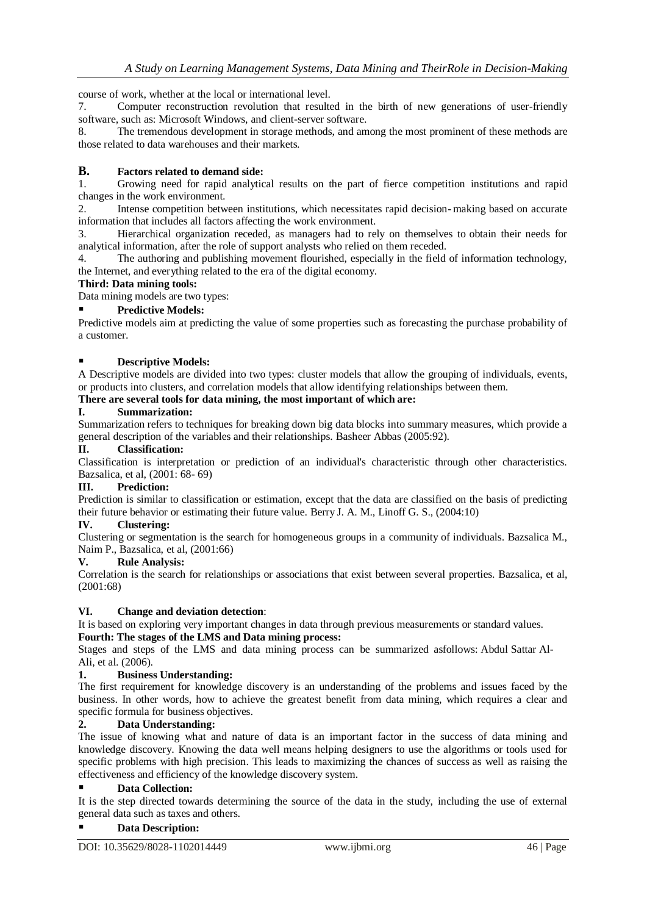course of work, whether at the local or international level.

7. Computer reconstruction revolution that resulted in the birth of new generations of user-friendly software, such as: Microsoft Windows, and client-server software.

8. The tremendous development in storage methods, and among the most prominent of these methods are those related to data warehouses and their markets.

# **B. Factors related to demand side:**

1. Growing need for rapid analytical results on the part of fierce competition institutions and rapid changes in the work environment.

2. Intense competition between institutions, which necessitates rapid decision-making based on accurate information that includes all factors affecting the work environment.

3. Hierarchical organization receded, as managers had to rely on themselves to obtain their needs for analytical information, after the role of support analysts who relied on them receded.

4. The authoring and publishing movement flourished, especially in the field of information technology, the Internet, and everything related to the era of the digital economy.

## **Third: Data mining tools:**

Data mining models are two types:

# **Predictive Models:**

Predictive models aim at predicting the value of some properties such as forecasting the purchase probability of a customer.

# **Descriptive Models:**

A Descriptive models are divided into two types: cluster models that allow the grouping of individuals, events, or products into clusters, and correlation models that allow identifying relationships between them.

# **There are several tools for data mining, the most important of which are:**

# **I. Summarization:**

Summarization refers to techniques for breaking down big data blocks into summary measures, which provide a general description of the variables and their relationships. Basheer Abbas (2005:92).

# **II. Classification:**

Classification is interpretation or prediction of an individual's characteristic through other characteristics. Bazsalica, et al, (2001: 68- 69)

## **III. Prediction:**

Prediction is similar to classification or estimation, except that the data are classified on the basis of predicting their future behavior or estimating their future value. Berry J. A. M., Linoff G. S., (2004:10)

## **IV. Clustering:**

Clustering or segmentation is the search for homogeneous groups in a community of individuals. Bazsalica M., Naim P., Bazsalica, et al, (2001:66)

## **V. Rule Analysis:**

Correlation is the search for relationships or associations that exist between several properties. Bazsalica, et al, (2001:68)

## **VI. Change and deviation detection**:

It is based on exploring very important changes in data through previous measurements or standard values. **Fourth: The stages of the LMS and Data mining process:**

Stages and steps of the LMS and data mining process can be summarized asfollows: Abdul Sattar Al-Ali, et al. (2006).

## **1. Business Understanding:**

The first requirement for knowledge discovery is an understanding of the problems and issues faced by the business. In other words, how to achieve the greatest benefit from data mining, which requires a clear and specific formula for business objectives.

# **2. Data Understanding:**

The issue of knowing what and nature of data is an important factor in the success of data mining and knowledge discovery. Knowing the data well means helping designers to use the algorithms or tools used for specific problems with high precision. This leads to maximizing the chances of success as well as raising the effectiveness and efficiency of the knowledge discovery system.

## **Data Collection:**

It is the step directed towards determining the source of the data in the study, including the use of external general data such as taxes and others.

## **Data Description:**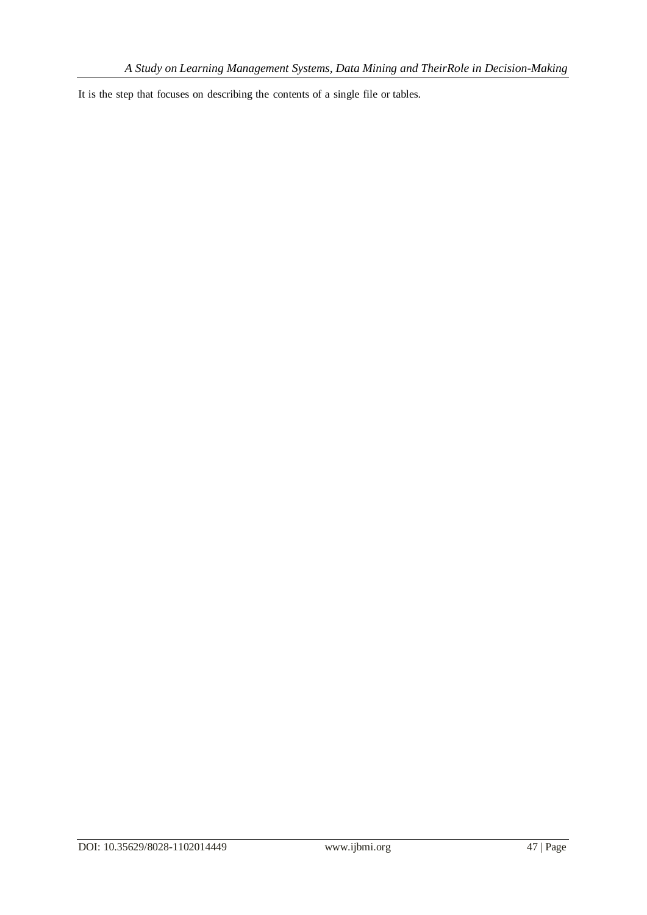It is the step that focuses on describing the contents of a single file or tables.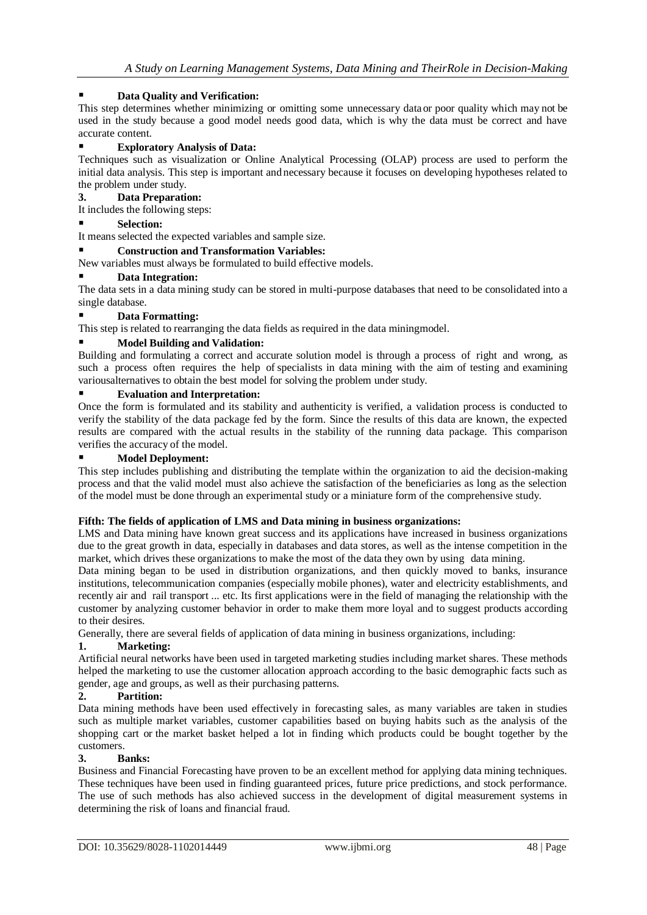# **Data Quality and Verification:**

This step determines whether minimizing or omitting some unnecessary data or poor quality which may not be used in the study because a good model needs good data, which is why the data must be correct and have accurate content.

# **Exploratory Analysis of Data:**

Techniques such as visualization or Online Analytical Processing (OLAP) process are used to perform the initial data analysis. This step is important andnecessary because it focuses on developing hypotheses related to the problem under study.

# **3. Data Preparation:**

It includes the following steps:

## **Selection:**

It means selected the expected variables and sample size.

## **Construction and Transformation Variables:**

New variables must always be formulated to build effective models.

## **Data Integration:**

The data sets in a data mining study can be stored in multi-purpose databases that need to be consolidated into a single database.

# **Data Formatting:**

This step is related to rearranging the data fields as required in the data miningmodel.

# **Model Building and Validation:**

Building and formulating a correct and accurate solution model is through a process of right and wrong, as such a process often requires the help of specialists in data mining with the aim of testing and examining variousalternatives to obtain the best model for solving the problem under study.

## **Evaluation and Interpretation:**

Once the form is formulated and its stability and authenticity is verified, a validation process is conducted to verify the stability of the data package fed by the form. Since the results of this data are known, the expected results are compared with the actual results in the stability of the running data package. This comparison verifies the accuracy of the model.

# **Model Deployment:**

This step includes publishing and distributing the template within the organization to aid the decision-making process and that the valid model must also achieve the satisfaction of the beneficiaries as long as the selection of the model must be done through an experimental study or a miniature form of the comprehensive study.

## **Fifth: The fields of application of LMS and Data mining in business organizations:**

LMS and Data mining have known great success and its applications have increased in business organizations due to the great growth in data, especially in databases and data stores, as well as the intense competition in the market, which drives these organizations to make the most of the data they own by using data mining.

Data mining began to be used in distribution organizations, and then quickly moved to banks, insurance institutions, telecommunication companies (especially mobile phones), water and electricity establishments, and recently air and rail transport ... etc. Its first applications were in the field of managing the relationship with the customer by analyzing customer behavior in order to make them more loyal and to suggest products according to their desires.

Generally, there are several fields of application of data mining in business organizations, including:

## **1. Marketing:**

Artificial neural networks have been used in targeted marketing studies including market shares. These methods helped the marketing to use the customer allocation approach according to the basic demographic facts such as gender, age and groups, as well as their purchasing patterns.

# **2. Partition:**

Data mining methods have been used effectively in forecasting sales, as many variables are taken in studies such as multiple market variables, customer capabilities based on buying habits such as the analysis of the shopping cart or the market basket helped a lot in finding which products could be bought together by the customers.

## **3. Banks:**

Business and Financial Forecasting have proven to be an excellent method for applying data mining techniques. These techniques have been used in finding guaranteed prices, future price predictions, and stock performance. The use of such methods has also achieved success in the development of digital measurement systems in determining the risk of loans and financial fraud.